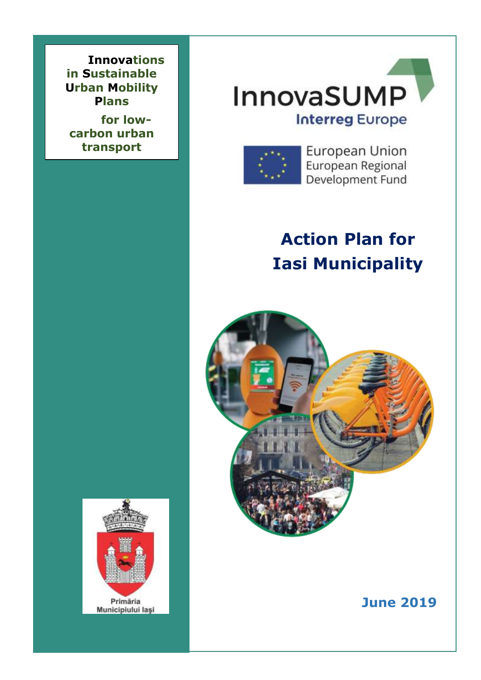**Innovations in Sustainable Urban Mobility Plans** 

 **transportfor lowcarbon urban** 





European Union European Regional Development Fund

# **Action Plan for Iasi Municipality**





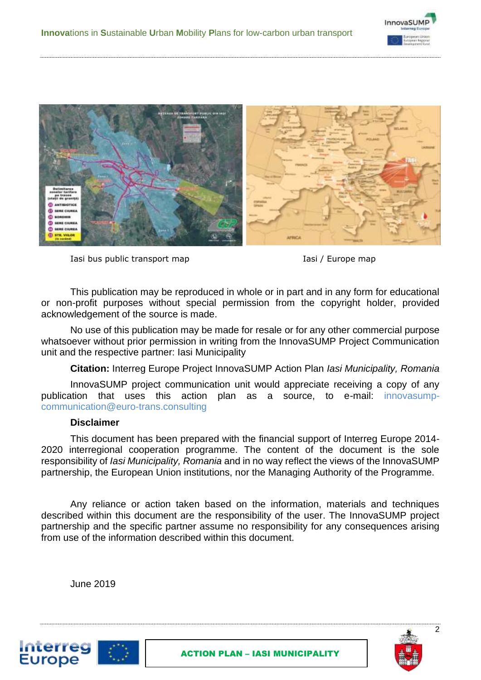



Iasi bus public transport map Iasi / Europe map



This publication may be reproduced in whole or in part and in any form for educational or non-profit purposes without special permission from the copyright holder, provided acknowledgement of the source is made.

No use of this publication may be made for resale or for any other commercial purpose whatsoever without prior permission in writing from the InnovaSUMP Project Communication unit and the respective partner: Iasi Municipality

**Citation:** Interreg Europe Project InnovaSUMP Action Plan *Iasi Municipality, Romania*

InnovaSUMP project communication unit would appreciate receiving a copy of any publication that uses this action plan as a source, to e-mail: innovasumpcommunication@euro-trans.consulting

#### **Disclaimer**

This document has been prepared with the financial support of Interreg Europe 2014- 2020 interregional cooperation programme. The content of the document is the sole responsibility of *Iasi Municipality, Romania* and in no way reflect the views of the InnovaSUMP partnership, the European Union institutions, nor the Managing Authority of the Programme.

Any reliance or action taken based on the information, materials and techniques described within this document are the responsibility of the user. The InnovaSUMP project partnership and the specific partner assume no responsibility for any consequences arising from use of the information described within this document.

June 2019



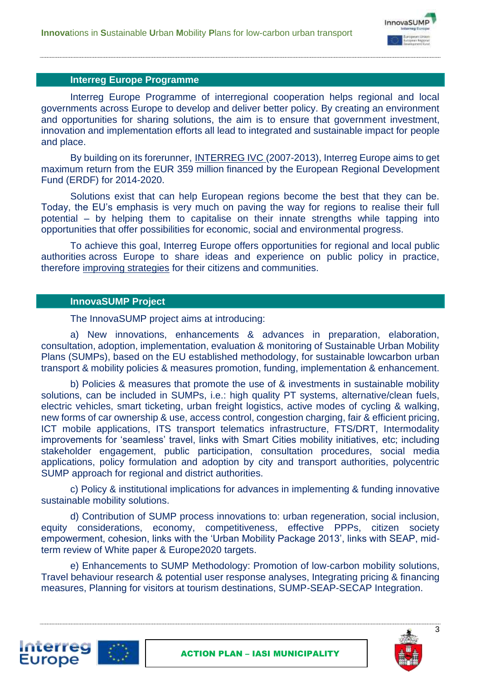

#### **Interreg Europe Programme**

Interreg Europe Programme of interregional cooperation helps regional and local governments across Europe to develop and deliver better policy. By creating an environment and opportunities for sharing solutions, the aim is to ensure that government investment, innovation and implementation efforts all lead to integrated and sustainable impact for people and place.

By building on its forerunner, [INTERREG IVC](http://www.interreg4c.eu/) (2007-2013), Interreg Europe aims to get maximum return from the EUR 359 million financed by the European Regional Development Fund (ERDF) for 2014-2020.

Solutions exist that can help European regions become the best that they can be. Today, the EU's emphasis is very much on paving the way for regions to realise their full potential – by helping them to capitalise on their innate strengths while tapping into opportunities that offer possibilities for economic, social and environmental progress.

To achieve this goal, Interreg Europe offers opportunities for regional and local public authorities across Europe to share ideas and experience on public policy in practice, therefore [improving strategies](https://www.interregeurope.eu/about-us/stats/) for their citizens and communities.

#### **InnovaSUMP Project**

**Interreg Europe** 

The InnovaSUMP project aims at introducing:

a) New innovations, enhancements & advances in preparation, elaboration, consultation, adoption, implementation, evaluation & monitoring of Sustainable Urban Mobility Plans (SUMPs), based on the EU established methodology, for sustainable lowcarbon urban transport & mobility policies & measures promotion, funding, implementation & enhancement.

b) Policies & measures that promote the use of & investments in sustainable mobility solutions, can be included in SUMPs, i.e.: high quality PT systems, alternative/clean fuels, electric vehicles, smart ticketing, urban freight logistics, active modes of cycling & walking, new forms of car ownership & use, access control, congestion charging, fair & efficient pricing, ICT mobile applications, ITS transport telematics infrastructure, FTS/DRT, Intermodality improvements for 'seamless' travel, links with Smart Cities mobility initiatives, etc; including stakeholder engagement, public participation, consultation procedures, social media applications, policy formulation and adoption by city and transport authorities, polycentric SUMP approach for regional and district authorities.

c) Policy & institutional implications for advances in implementing & funding innovative sustainable mobility solutions.

d) Contribution of SUMP process innovations to: urban regeneration, social inclusion, equity considerations, economy, competitiveness, effective PPPs, citizen society empowerment, cohesion, links with the 'Urban Mobility Package 2013', links with SEAP, midterm review of White paper & Europe2020 targets.

e) Enhancements to SUMP Methodology: Promotion of low-carbon mobility solutions, Travel behaviour research & potential user response analyses, Integrating pricing & financing measures, Planning for visitors at tourism destinations, SUMP-SEAP-SECAP Integration.



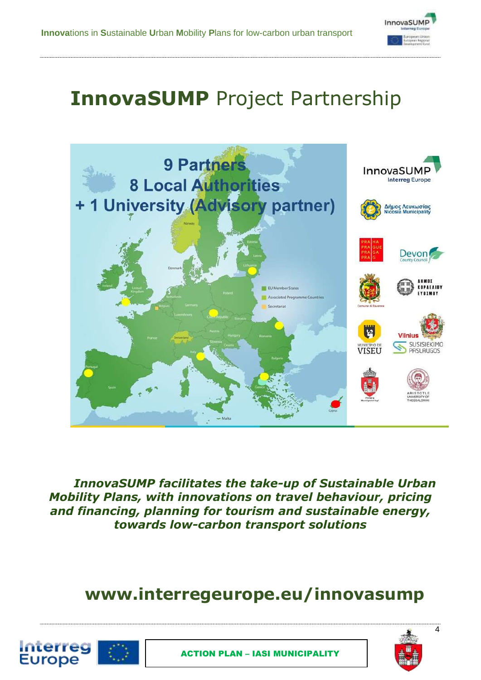

# **InnovaSUMP** Project Partnership



*InnovaSUMP facilitates the take-up of Sustainable Urban Mobility Plans, with innovations on travel behaviour, pricing and financing, planning for tourism and sustainable energy, towards low-carbon transport solutions*

# **www.interregeurope.eu/innovasump**



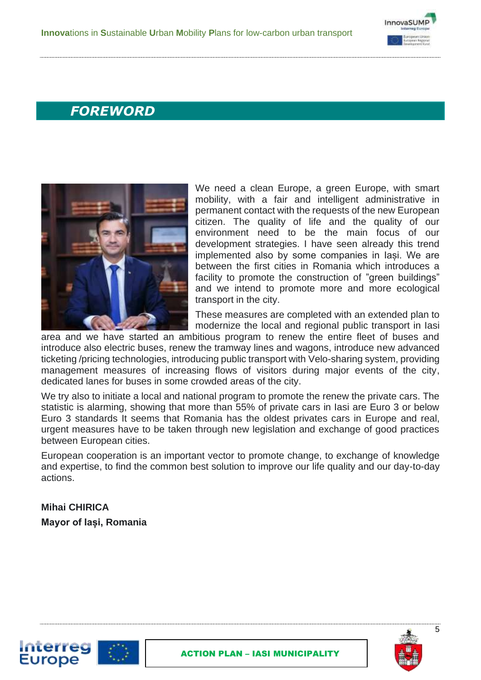

## *FOREWORD*



We need a clean Europe, a green Europe, with smart mobility, with a fair and intelligent administrative in permanent contact with the requests of the new European citizen. The quality of life and the quality of our environment need to be the main focus of our development strategies. I have seen already this trend implemented also by some companies in Iași. We are between the first cities in Romania which introduces a facility to promote the construction of "green buildings" and we intend to promote more and more ecological transport in the city.

These measures are completed with an extended plan to modernize the local and regional public transport in Iasi

area and we have started an ambitious program to renew the entire fleet of buses and introduce also electric buses, renew the tramway lines and wagons, introduce new advanced ticketing /pricing technologies, introducing public transport with Velo-sharing system, providing management measures of increasing flows of visitors during major events of the city, dedicated lanes for buses in some crowded areas of the city.

We try also to initiate a local and national program to promote the renew the private cars. The statistic is alarming, showing that more than 55% of private cars in Iasi are Euro 3 or below Euro 3 standards It seems that Romania has the oldest privates cars in Europe and real, urgent measures have to be taken through new legislation and exchange of good practices between European cities.

European cooperation is an important vector to promote change, to exchange of knowledge and expertise, to find the common best solution to improve our life quality and our day-to-day actions.

### **Mihai CHIRICA Mayor of Iași, Romania**

Interreg **Europe** 

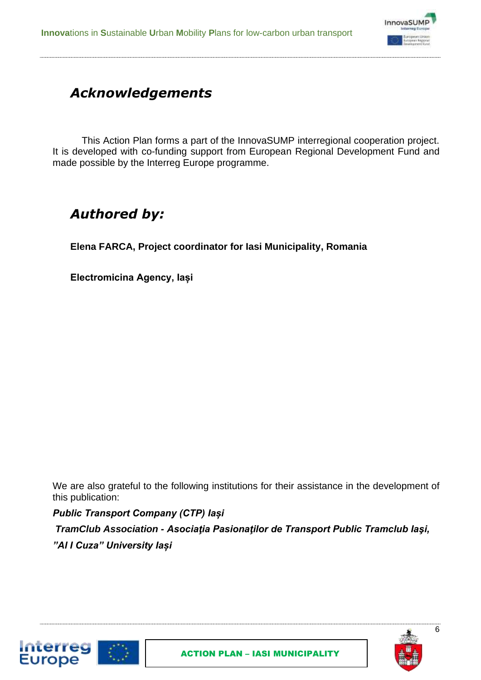

# *Acknowledgements*

This Action Plan forms a part of the InnovaSUMP interregional cooperation project. It is developed with co-funding support from European Regional Development Fund and made possible by the Interreg Europe programme.

# *Authored by:*

**Elena FARCA, Project coordinator for Iasi Municipality, Romania**

**Electromicina Agency, Iași**

We are also grateful to the following institutions for their assistance in the development of this publication:

*Public Transport Company (CTP) Iași*

**Interreg Europe** 

*TramClub Association - [Asociaţia Pasionaţilor de Transport Public Tramclub Iaşi,](https://www.facebook.com/tramclubiasi/?__tn__=K-R&eid=ARBrXrUXq-werAaX-7cOCX4lsdJ-poV4RubIZOwiUGtkV7vTYdXwAx918s-jmbPlw69Qz6Dw-OIcZuD5&fref=mentions&__xts__%5B0%5D=68.ARDANiAOse3WJsNwGfpP-ATprG5fmKxtfwX9_6Ikk9DxNVJvU6W9YEWgnfWVXGwzqjO6bcL6UnYLTSlJdgnnvBuNHdXlNnnmbZpT1kWNXOyZ2oHu09hGpvCDdpKUiReJHgNjvhpm73i58q0noWLg8Q2bgnQ8ANAKMu4jqGT0WqpC5HpgwMNDutySsGBQrZtP57U6ENTrtIeY3Oy4ZJfCDT0pybTBOVGhkr3JcclGfm1FjkqbCcUfgHJ8YRS_32Ci3bjxbR0HF-76ga8Anb__qGjD0kCnhg8j4dSXFKCJHadh1hRsDC_4lNd8zGQT5lLgK9RfRAwiyB5w4TMpv8cb_iSYUqX5C_CWwuEgnea6OZa754Guu0Y5gCBZUwDXXRbToftUAl4umU3XSHU-8vlLAL7RHL5l8cH6UR33FmQFCRaqsC6peWGrKDd9ov_UWC_IJwaeDkd6z6sXCsdtB8Uk7VY) "Al I Cuza" University Iași*



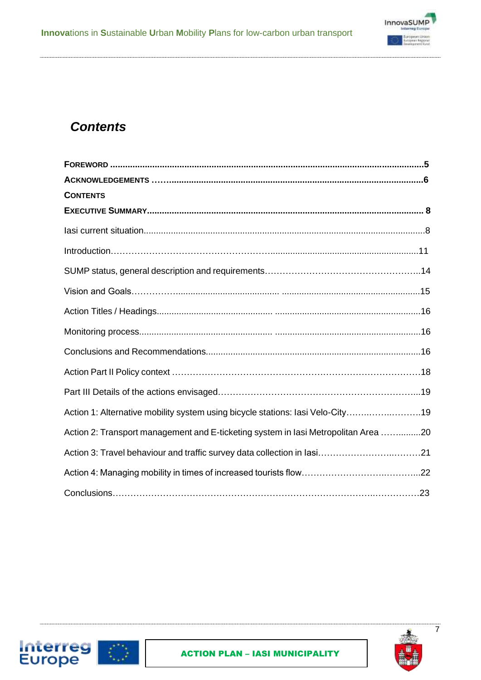

### *Contents*

Interreg<br>Europe

| <b>CONTENTS</b>                                                                    |  |
|------------------------------------------------------------------------------------|--|
|                                                                                    |  |
|                                                                                    |  |
|                                                                                    |  |
|                                                                                    |  |
|                                                                                    |  |
|                                                                                    |  |
|                                                                                    |  |
|                                                                                    |  |
|                                                                                    |  |
|                                                                                    |  |
| Action 1: Alternative mobility system using bicycle stations: lasi Velo-City19     |  |
| Action 2: Transport management and E-ticketing system in lasi Metropolitan Area 20 |  |
|                                                                                    |  |
|                                                                                    |  |
|                                                                                    |  |



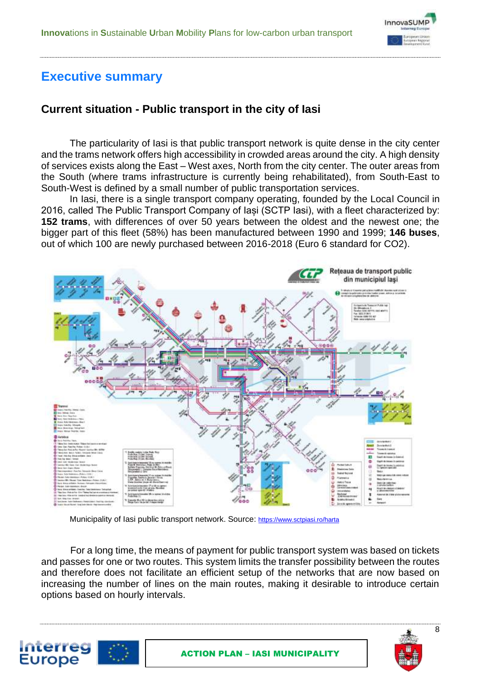

### **Executive summary**

### **Current situation - Public transport in the city of Iasi**

The particularity of Iasi is that public transport network is quite dense in the city center and the trams network offers high accessibility in crowded areas around the city. A high density of services exists along the East – West axes, North from the city center. The outer areas from the South (where trams infrastructure is currently being rehabilitated), from South-East to South-West is defined by a small number of public transportation services.

In Iasi, there is a single transport company operating, founded by the Local Council in 2016, called The Public Transport Company of Iași (SCTP Iasi), with a fleet characterized by: **152 trams**, with differences of over 50 years between the oldest and the newest one; the bigger part of this fleet (58%) has been manufactured between 1990 and 1999; **146 buses**, out of which 100 are newly purchased between 2016-2018 (Euro 6 standard for CO2).



Municipality of Iasi public transport network. Source: <https://www.sctpiasi.ro/harta>

For a long time, the means of payment for public transport system was based on tickets and passes for one or two routes. This system limits the transfer possibility between the routes and therefore does not facilitate an efficient setup of the networks that are now based on increasing the number of lines on the main routes, making it desirable to introduce certain options based on hourly intervals.



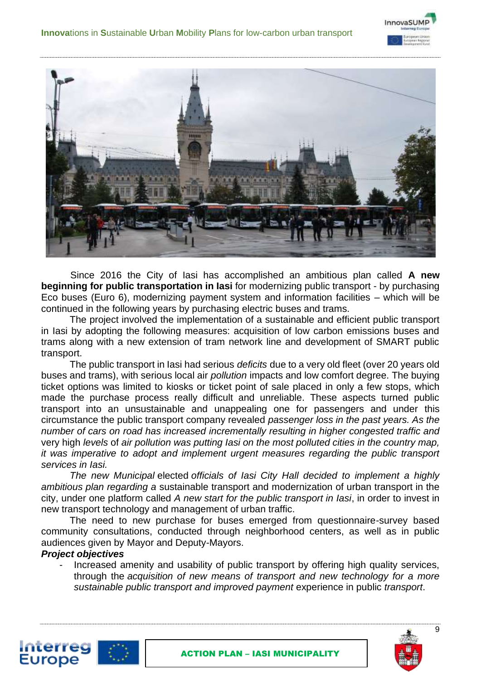



Since 2016 the City of Iasi has accomplished an ambitious plan called **A new beginning for public transportation in Iasi** for modernizing public transport - by purchasing Eco buses (Euro 6), modernizing payment system and information facilities – which will be continued in the following years by purchasing electric buses and trams.

The project involved the implementation of a sustainable and efficient public transport in Iasi by adopting the following measures: acquisition of low carbon emissions buses and trams along with a new extension of tram network line and development of SMART public transport.

The public transport in Iasi had serious *deficits* due to a very old fleet (over 20 years old buses and trams), with serious local air *pollution* impacts and low comfort degree. The buying ticket options was limited to kiosks or ticket point of sale placed in only a few stops, which made the purchase process really difficult and unreliable. These aspects turned public transport into an unsustainable and unappealing one for passengers and under this circumstance the public transport company revealed *passenger loss in the past years. As the number of cars on road has increased incrementally resulting in higher congested traffic and*  very high *levels* of *air pollution was putting Iasi on the most polluted cities in the country map, it was imperative to adopt and implement urgent measures regarding the public transport services in Iasi.*

*The new Municipal* elected *officials of Iasi City Hall decided to implement a highly ambitious plan regarding a* sustainable transport and modernization of urban transport in the city, under one platform called *A new start for the public transport in Iasi*, in order to invest in new transport technology and management of urban traffic.

The need to new purchase for buses emerged from questionnaire-survey based community consultations, conducted through neighborhood centers, as well as in public audiences given by Mayor and Deputy-Mayors.

#### *Project objectives*

Increased amenity and usability of public transport by offering high quality services, through the *acquisition of new means of transport and new technology for a more sustainable public transport and improved payment* experience in public *transport*.



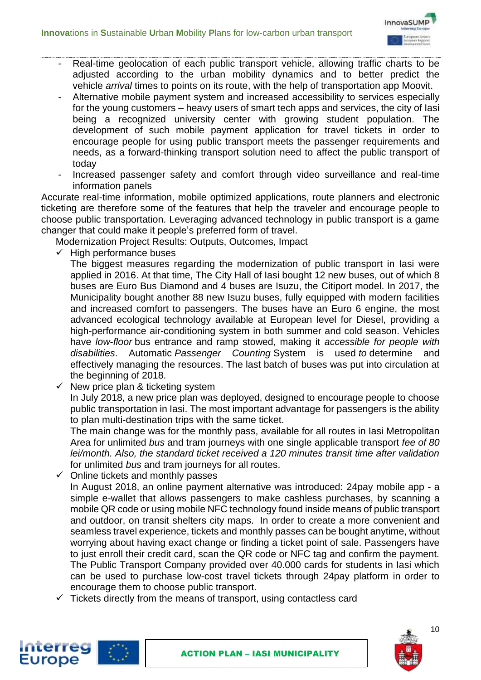

- Real-time geolocation of each public transport vehicle, allowing traffic charts to be adjusted according to the urban mobility dynamics and to better predict the vehicle *arrival* times to points on its route, with the help of transportation app Moovit.
	- Alternative mobile payment system and increased accessibility to services especially for the young customers – heavy users of smart tech apps and services, the city of Iasi being a recognized university center with growing student population. The development of such mobile payment application for travel tickets in order to encourage people for using public transport meets the passenger requirements and needs, as a forward-thinking transport solution need to affect the public transport of today
	- Increased passenger safety and comfort through video surveillance and real-time information panels

Accurate real-time information, mobile optimized applications, route planners and electronic ticketing are therefore some of the features that help the traveler and encourage people to choose public transportation. Leveraging advanced technology in public transport is a game changer that could make it people's preferred form of travel.

Modernization Project Results: Outputs, Outcomes, Impact

High performance buses

The biggest measures regarding the modernization of public transport in Iasi were applied in 2016. At that time, The City Hall of Iasi bought 12 new buses, out of which 8 buses are Euro Bus Diamond and 4 buses are Isuzu, the Citiport model. In 2017, the Municipality bought another 88 new Isuzu buses, fully equipped with modern facilities and increased comfort to passengers. The buses have an Euro 6 engine, the most advanced ecological technology available at European level for Diesel, providing a high-performance air-conditioning system in both summer and cold season. Vehicles have *low*-*floor* bus entrance and ramp stowed, making it *accessible for people with disabilities*. Automatic *Passenger Counting* System is used *to* determine and effectively managing the resources. The last batch of buses was put into circulation at the beginning of 2018.

 $\checkmark$  New price plan & ticketing system In July 2018, a new price plan was deployed, designed to encourage people to choose public transportation in Iasi. The most important advantage for passengers is the ability to plan multi-destination trips with the same ticket.

The main change was for the monthly pass, available for all routes in Iasi Metropolitan Area for unlimited *bus* and tram journeys with one single applicable transport *fee of 80 lei/month. Also, the standard ticket received a 120 minutes transit time after validation*  for unlimited *bus* and tram journeys for all routes.

- $\checkmark$  Online tickets and monthly passes In August 2018, an online payment alternative was introduced: 24pay mobile app - a simple e-wallet that allows passengers to make cashless purchases, by scanning a mobile QR code or using mobile NFC technology found inside means of public transport and outdoor, on transit shelters city maps. In order to create a more convenient and seamless travel experience, tickets and monthly passes can be bought anytime, without worrying about having exact change or finding a ticket point of sale. Passengers have to just enroll their credit card, scan the QR code or NFC tag and confirm the payment. The Public Transport Company provided over 40.000 cards for students in Iasi which can be used to purchase low-cost travel tickets through 24pay platform in order to encourage them to choose public transport.
- $\checkmark$  Tickets directly from the means of transport, using contactless card



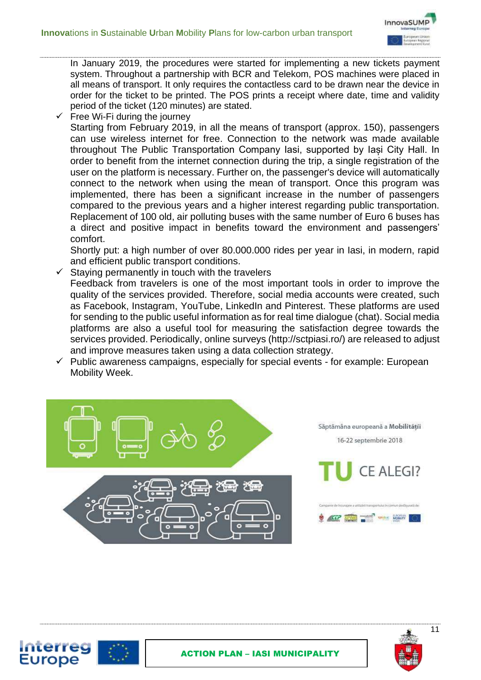

In January 2019, the procedures were started for implementing a new tickets payment system. Throughout a partnership with BCR and Telekom, POS machines were placed in all means of transport. It only requires the contactless card to be drawn near the device in order for the ticket to be printed. The POS prints a receipt where date, time and validity period of the ticket (120 minutes) are stated.

Free Wi-Fi during the journey Starting from February 2019, in all the means of transport (approx. 150), passengers can use wireless internet for free. Connection to the network was made available throughout The Public Transportation Company Iasi, supported by Iași City Hall. In order to benefit from the internet connection during the trip, a single registration of the user on the platform is necessary. Further on, the passenger's device will automatically connect to the network when using the mean of transport. Once this program was implemented, there has been a significant increase in the number of passengers compared to the previous years and a higher interest regarding public transportation. Replacement of 100 old, air polluting buses with the same number of Euro 6 buses has a direct and positive impact in benefits toward the environment and passengers' comfort.

Shortly put: a high number of over 80.000.000 rides per year in Iasi, in modern, rapid and efficient public transport conditions.

- $\checkmark$  Staying permanently in touch with the travelers Feedback from travelers is one of the most important tools in order to improve the quality of the services provided. Therefore, social media accounts were created, such as Facebook, Instagram, YouTube, LinkedIn and Pinterest. These platforms are used for sending to the public useful information as for real time dialogue (chat). Social media platforms are also a useful tool for measuring the satisfaction degree towards the services provided. Periodically, online surveys (http://sctpiasi.ro/) are released to adjust and improve measures taken using a data collection strategy.
- $\checkmark$  Public awareness campaigns, especially for special events for example: European Mobility Week.





Interrec **Europe**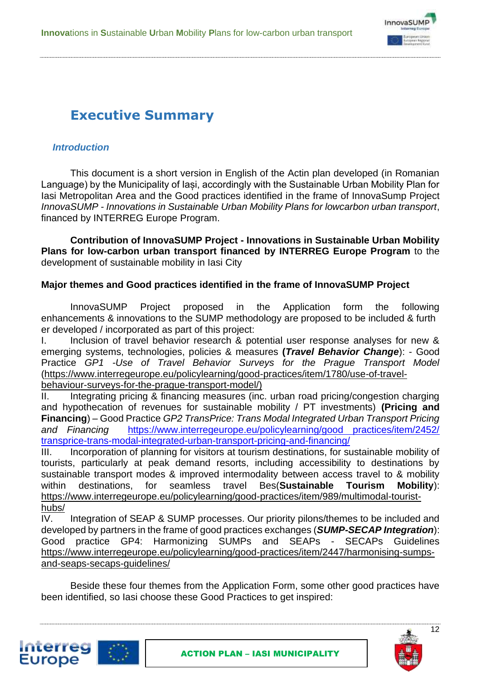

# **Executive Summary**

#### *Introduction*

This document is a short version in English of the Actin plan developed (in Romanian Language) by the Municipality of Iași, accordingly with the Sustainable Urban Mobility Plan for Iasi Metropolitan Area and the Good practices identified in the frame of InnovaSump Project *InnovaSUMP - Innovations in Sustainable Urban Mobility Plans for lowcarbon urban transport*, financed by INTERREG Europe Program.

**Contribution of InnovaSUMP Project - Innovations in Sustainable Urban Mobility Plans for low-carbon urban transport financed by INTERREG Europe Program** to the development of sustainable mobility in Iasi City

#### **Major themes and Good practices identified in the frame of InnovaSUMP Project**

InnovaSUMP Project proposed in the Application form the following enhancements & innovations to the SUMP methodology are proposed to be included & furth er developed / incorporated as part of this project:

I. Inclusion of travel behavior research & potential user response analyses for new & emerging systems, technologies, policies & measures **(***Travel Behavior Change*): - Good Practice *GP1 -Use of Travel Behavior Surveys for the Prague Transport Model*  [\(https://www.interregeurope.eu/policylearning/good-practices/item/1780/use-of-travel-](https://www.interregeurope.eu/policylearning/good-practices/item/1780/use-of-travel-behaviour-surveys-for-the-prague-transport-model/)

[behaviour-surveys-for-the-prague-transport-model/\)](https://www.interregeurope.eu/policylearning/good-practices/item/1780/use-of-travel-behaviour-surveys-for-the-prague-transport-model/)

II. Integrating pricing & financing measures (inc. urban road pricing/congestion charging and hypothecation of revenues for sustainable mobility / PT investments) **(Pricing and Financing**) – Good Practice *GP2 TransPrice: Trans Modal Integrated Urban Transport Pricing and Financing* [https://www.interregeurope.eu/policylearning/good practices/item/2452/](https://www.interregeurope.eu/policylearning/good%20practices/item/2452/%20transprice-trans-modal-integrated-urban-transport-pricing-and-financing/)  [transprice-trans-modal-integrated-urban-transport-pricing-and-financing/](https://www.interregeurope.eu/policylearning/good%20practices/item/2452/%20transprice-trans-modal-integrated-urban-transport-pricing-and-financing/)

III. Incorporation of planning for visitors at tourism destinations, for sustainable mobility of tourists, particularly at peak demand resorts, including accessibility to destinations by sustainable transport modes & improved intermodality between access travel to & mobility within destinations, for seamless travel Bes(**Sustainable Tourism Mobility**): [https://www.interregeurope.eu/policylearning/good-practices/item/989/multimodal-tourist](https://www.interregeurope.eu/policylearning/good-practices/item/989/multimodal-tourist-hubs/)[hubs/](https://www.interregeurope.eu/policylearning/good-practices/item/989/multimodal-tourist-hubs/)

IV. Integration of SEAP & SUMP processes. Our priority pilons/themes to be included and developed by partners in the frame of good practices exchanges (*SUMP-SECAP Integration*): Good practice GP4: Harmonizing SUMPs and SEAPs - SECAPs Guidelines [https://www.interregeurope.eu/policylearning/good-practices/item/2447/harmonising-sumps](https://www.interregeurope.eu/policylearning/good-practices/item/2447/harmonising-sumps-and-seaps-secaps-guidelines/)[and-seaps-secaps-guidelines/](https://www.interregeurope.eu/policylearning/good-practices/item/2447/harmonising-sumps-and-seaps-secaps-guidelines/)

Beside these four themes from the Application Form, some other good practices have been identified, so Iasi choose these Good Practices to get inspired:

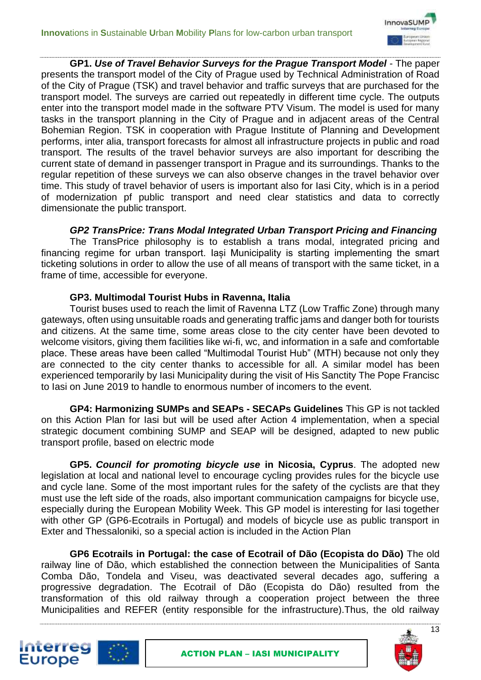

**GP1.** *Use of Travel Behavior Surveys for the Prague Transport Model* - The paper presents the transport model of the City of Prague used by Technical Administration of Road of the City of Prague (TSK) and travel behavior and traffic surveys that are purchased for the transport model. The surveys are carried out repeatedly in different time cycle. The outputs enter into the transport model made in the software PTV Visum. The model is used for many tasks in the transport planning in the City of Prague and in adjacent areas of the Central Bohemian Region. TSK in cooperation with Prague Institute of Planning and Development performs, inter alia, transport forecasts for almost all infrastructure projects in public and road transport. The results of the travel behavior surveys are also important for describing the current state of demand in passenger transport in Prague and its surroundings. Thanks to the regular repetition of these surveys we can also observe changes in the travel behavior over time. This study of travel behavior of users is important also for Iasi City, which is in a period of modernization pf public transport and need clear statistics and data to correctly dimensionate the public transport.

#### *GP2 TransPrice: Trans Modal Integrated Urban Transport Pricing and Financing*

The TransPrice philosophy is to establish a trans modal, integrated pricing and financing regime for urban transport. Iasi Municipality is starting implementing the smart ticketing solutions in order to allow the use of all means of transport with the same ticket, in a frame of time, accessible for everyone.

#### **GP3. Multimodal Tourist Hubs in Ravenna, Italia**

<u>Interreg</u> **Europe** 

Tourist buses used to reach the limit of Ravenna LTZ (Low Traffic Zone) through many gateways, often using unsuitable roads and generating traffic jams and danger both for tourists and citizens. At the same time, some areas close to the city center have been devoted to welcome visitors, giving them facilities like wi-fi, wc, and information in a safe and comfortable place. These areas have been called "Multimodal Tourist Hub" (MTH) because not only they are connected to the city center thanks to accessible for all. A similar model has been experienced temporarily by Iasi Municipality during the visit of His Sanctity The Pope Francisc to Iasi on June 2019 to handle to enormous number of incomers to the event.

**GP4: Harmonizing SUMPs and SEAPs - SECAPs Guidelines** This GP is not tackled on this Action Plan for Iasi but will be used after Action 4 implementation, when a special strategic document combining SUMP and SEAP will be designed, adapted to new public transport profile, based on electric mode

**GP5.** *Council for promoting bicycle use* **in Nicosia, Cyprus**. The adopted new legislation at local and national level to encourage cycling provides rules for the bicycle use and cycle lane. Some of the most important rules for the safety of the cyclists are that they must use the left side of the roads, also important communication campaigns for bicycle use, especially during the European Mobility Week. This GP model is interesting for Iasi together with other GP (GP6-Ecotrails in Portugal) and models of bicycle use as public transport in Exter and Thessaloniki, so a special action is included in the Action Plan

**GP6 Ecotrails in Portugal: the case of Ecotrail of Dão (Ecopista do Dão)** The old railway line of Dão, which established the connection between the Municipalities of Santa Comba Dão, Tondela and Viseu, was deactivated several decades ago, suffering a progressive degradation. The Ecotrail of Dão (Ecopista do Dão) resulted from the transformation of this old railway through a cooperation project between the three Municipalities and REFER (entity responsible for the infrastructure).Thus, the old railway

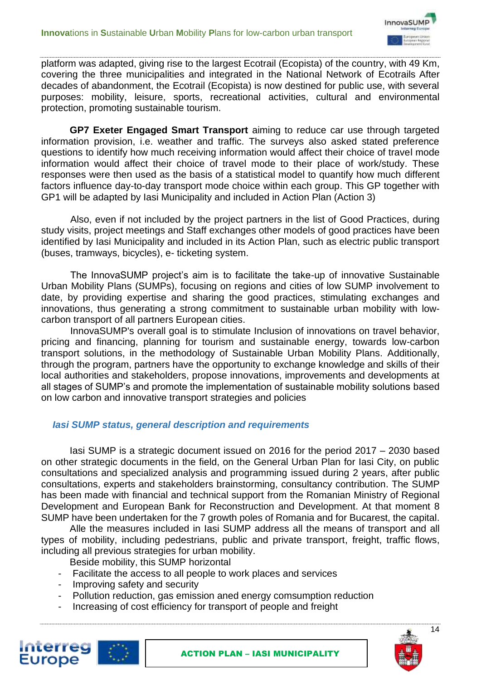

platform was adapted, giving rise to the largest Ecotrail (Ecopista) of the country, with 49 Km, covering the three municipalities and integrated in the National Network of Ecotrails After decades of abandonment, the Ecotrail (Ecopista) is now destined for public use, with several purposes: mobility, leisure, sports, recreational activities, cultural and environmental protection, promoting sustainable tourism.

**GP7 Exeter Engaged Smart Transport** aiming to reduce car use through targeted information provision, i.e. weather and traffic. The surveys also asked stated preference questions to identify how much receiving information would affect their choice of travel mode information would affect their choice of travel mode to their place of work/study. These responses were then used as the basis of a statistical model to quantify how much different factors influence day-to-day transport mode choice within each group. This GP together with GP1 will be adapted by Iasi Municipality and included in Action Plan (Action 3)

Also, even if not included by the project partners in the list of Good Practices, during study visits, project meetings and Staff exchanges other models of good practices have been identified by Iasi Municipality and included in its Action Plan, such as electric public transport (buses, tramways, bicycles), e- ticketing system.

The InnovaSUMP project's aim is to facilitate the take-up of innovative Sustainable Urban Mobility Plans (SUMPs), focusing on regions and cities of low SUMP involvement to date, by providing expertise and sharing the good practices, stimulating exchanges and innovations, thus generating a strong commitment to sustainable urban mobility with lowcarbon transport of all partners European cities.

InnovaSUMP's overall goal is to stimulate Inclusion of innovations on travel behavior, pricing and financing, planning for tourism and sustainable energy, towards low-carbon transport solutions, in the methodology of Sustainable Urban Mobility Plans. Additionally, through the program, partners have the opportunity to exchange knowledge and skills of their local authorities and stakeholders, propose innovations, improvements and developments at all stages of SUMP's and promote the implementation of sustainable mobility solutions based on low carbon and innovative transport strategies and policies

#### *Iasi SUMP status, general description and requirements*

Iasi SUMP is a strategic document issued on 2016 for the period 2017 – 2030 based on other strategic documents in the field, on the General Urban Plan for Iasi City, on public consultations and specialized analysis and programming issued during 2 years, after public consultations, experts and stakeholders brainstorming, consultancy contribution. The SUMP has been made with financial and technical support from the Romanian Ministry of Regional Development and European Bank for Reconstruction and Development. At that moment 8 SUMP have been undertaken for the 7 growth poles of Romania and for Bucarest, the capital.

Alle the measures included in Iasi SUMP address all the means of transport and all types of mobility, including pedestrians, public and private transport, freight, traffic flows, including all previous strategies for urban mobility.

Beside mobility, this SUMP horizontal

- Facilitate the access to all people to work places and services
- Improving safety and security
- Pollution reduction, gas emission aned energy comsumption reduction
- Increasing of cost efficiency for transport of people and freight



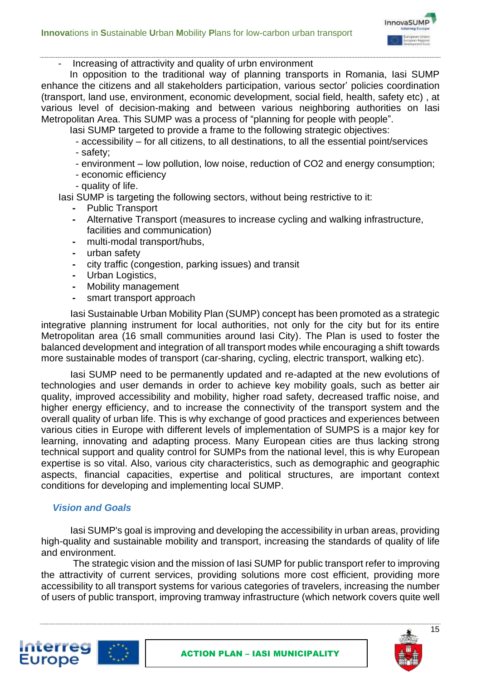

- Increasing of attractivity and quality of urbn environment

In opposition to the traditional way of planning transports in Romania, Iasi SUMP enhance the citizens and all stakeholders participation, various sector' policies coordination (transport, land use, environment, economic development, social field, health, safety etc) , at various level of decision-making and between various neighboring authorities on Iasi Metropolitan Area. This SUMP was a process of "planning for people with people".

Iasi SUMP targeted to provide a frame to the following strategic objectives:

- accessibility – for all citizens, to all destinations, to all the essential point/services - safety;

- environment – low pollution, low noise, reduction of CO2 and energy consumption;

- economic efficiency
- quality of life.

Iasi SUMP is targeting the following sectors, without being restrictive to it:

- **-** Public Transport
- **-** Alternative Transport (measures to increase cycling and walking infrastructure, facilities and communication)
- **-** multi‐modal transport/hubs,
- **-** urban safety
- **-** city traffic (congestion, parking issues) and transit
- **-** Urban Logistics,
- **-** Mobility management
- **-** smart transport approach

Iasi Sustainable Urban Mobility Plan (SUMP) concept has been promoted as a strategic integrative planning instrument for local authorities, not only for the city but for its entire Metropolitan area (16 small communities around Iasi City). The Plan is used to foster the balanced development and integration of all transport modes while encouraging a shift towards more sustainable modes of transport (car-sharing, cycling, electric transport, walking etc).

Iasi SUMP need to be permanently updated and re-adapted at the new evolutions of technologies and user demands in order to achieve key mobility goals, such as better air quality, improved accessibility and mobility, higher road safety, decreased traffic noise, and higher energy efficiency, and to increase the connectivity of the transport system and the overall quality of urban life. This is why exchange of good practices and experiences between various cities in Europe with different levels of implementation of SUMPS is a major key for learning, innovating and adapting process. Many European cities are thus lacking strong technical support and quality control for SUMPs from the national level, this is why European expertise is so vital. Also, various city characteristics, such as demographic and geographic aspects, financial capacities, expertise and political structures, are important context conditions for developing and implementing local SUMP.

#### *Vision and Goals*

Iasi SUMP's goal is improving and developing the accessibility in urban areas, providing high-quality and sustainable mobility and transport, increasing the standards of quality of life and environment.

The strategic vision and the mission of Iasi SUMP for public transport refer to improving the attractivity of current services, providing solutions more cost efficient, providing more accessibility to all transport systems for various categories of travelers, increasing the number of users of public transport, improving tramway infrastructure (which network covers quite well

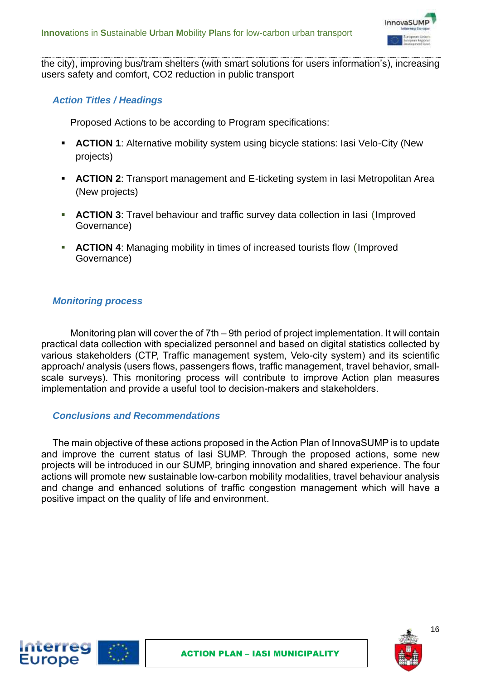

the city), improving bus/tram shelters (with smart solutions for users information's), increasing users safety and comfort, CO2 reduction in public transport

#### *Action Titles / Headings*

Proposed Actions to be according to Program specifications:

- **EXTION 1:** Alternative mobility system using bicycle stations: lasi Velo-City (New projects)
- **EXTION 2:** Transport management and E-ticketing system in lasi Metropolitan Area (New projects)
- **EXTION 3:** Travel behaviour and traffic survey data collection in lasi (Improved Governance)
- ACTION 4: Managing mobility in times of increased tourists flow (Improved Governance)

#### *Monitoring process*

**Interreg Europe** 

Monitoring plan will cover the of 7th – 9th period of project implementation. It will contain practical data collection with specialized personnel and based on digital statistics collected by various stakeholders (CTP, Traffic management system, Velo-city system) and its scientific approach/ analysis (users flows, passengers flows, traffic management, travel behavior, smallscale surveys). This monitoring process will contribute to improve Action plan measures implementation and provide a useful tool to decision-makers and stakeholders.

#### *Conclusions and Recommendations*

The main objective of these actions proposed in the Action Plan of InnovaSUMP is to update and improve the current status of Iasi SUMP. Through the proposed actions, some new projects will be introduced in our SUMP, bringing innovation and shared experience. The four actions will promote new sustainable low-carbon mobility modalities, travel behaviour analysis and change and enhanced solutions of traffic congestion management which will have a positive impact on the quality of life and environment.



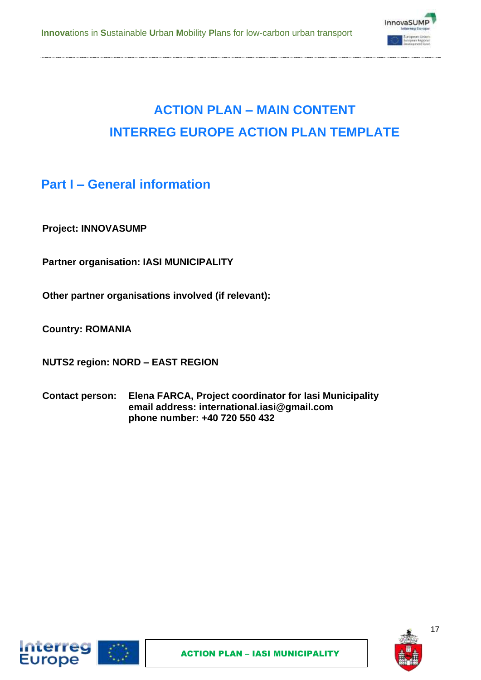

# **ACTION PLAN – MAIN CONTENT INTERREG EUROPE ACTION PLAN TEMPLATE**

### **Part I – General information**

**Project: INNOVASUMP**

**Partner organisation: IASI MUNICIPALITY**

**Other partner organisations involved (if relevant):**

**Country: ROMANIA**

**NUTS2 region: NORD – EAST REGION**

**Contact person: Elena FARCA, Project coordinator for Iasi Municipality email address: international.iasi@gmail.com phone number: +40 720 550 432**



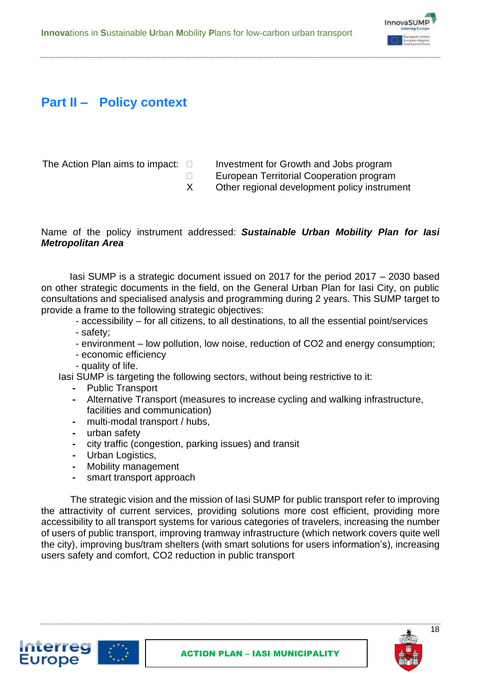

# **Part II – Policy context**

The Action Plan aims to impact:  $\Box$  Investment for Growth and Jobs program

- □ European Territorial Cooperation program
- X Other regional development policy instrument

#### Name of the policy instrument addressed: *Sustainable Urban Mobility Plan for Iasi Metropolitan Area*

Iasi SUMP is a strategic document issued on 2017 for the period 2017 – 2030 based on other strategic documents in the field, on the General Urban Plan for Iasi City, on public consultations and specialised analysis and programming during 2 years. This SUMP target to provide a frame to the following strategic objectives:

- accessibility for all citizens, to all destinations, to all the essential point/services - safety;
- environment low pollution, low noise, reduction of CO2 and energy consumption;
- economic efficiency
- quality of life.

Iasi SUMP is targeting the following sectors, without being restrictive to it:

- **-** Public Transport
- **-** Alternative Transport (measures to increase cycling and walking infrastructure, facilities and communication)
- **-** multi‐modal transport / hubs,
- **-** urban safety
- **-** city traffic (congestion, parking issues) and transit
- **-** Urban Logistics,
- **-** Mobility management
- **-** smart transport approach

The strategic vision and the mission of Iasi SUMP for public transport refer to improving the attractivity of current services, providing solutions more cost efficient, providing more accessibility to all transport systems for various categories of travelers, increasing the number of users of public transport, improving tramway infrastructure (which network covers quite well the city), improving bus/tram shelters (with smart solutions for users information's), increasing users safety and comfort, CO2 reduction in public transport



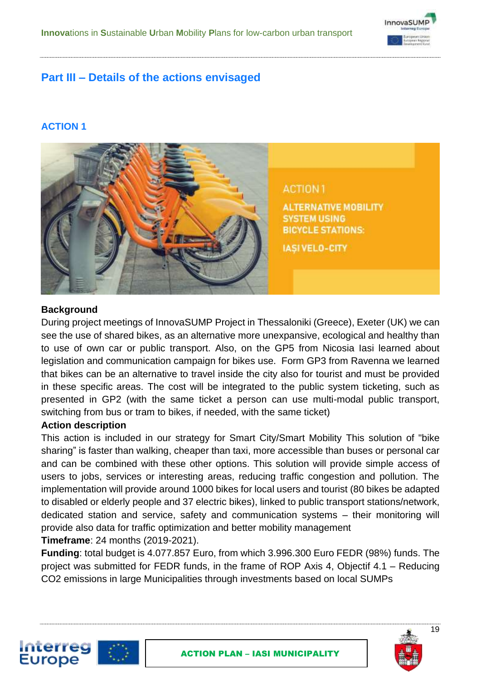

### **Part III – Details of the actions envisaged**

#### **ACTION 1**



#### **Background**

During project meetings of InnovaSUMP Project in Thessaloniki (Greece), Exeter (UK) we can see the use of shared bikes, as an alternative more unexpansive, ecological and healthy than to use of own car or public transport. Also, on the GP5 from Nicosia Iasi learned about legislation and communication campaign for bikes use. Form GP3 from Ravenna we learned that bikes can be an alternative to travel inside the city also for tourist and must be provided in these specific areas. The cost will be integrated to the public system ticketing, such as presented in GP2 (with the same ticket a person can use multi-modal public transport, switching from bus or tram to bikes, if needed, with the same ticket)

#### **Action description**

This action is included in our strategy for Smart City/Smart Mobility This solution of "bike sharing" is faster than walking, cheaper than taxi, more accessible than buses or personal car and can be combined with these other options. This solution will provide simple access of users to jobs, services or interesting areas, reducing traffic congestion and pollution. The implementation will provide around 1000 bikes for local users and tourist (80 bikes be adapted to disabled or elderly people and 37 electric bikes), linked to public transport stations/network, dedicated station and service, safety and communication systems – their monitoring will provide also data for traffic optimization and better mobility management **Timeframe**: 24 months (2019-2021).

**Funding**: total budget is 4.077.857 Euro, from which 3.996.300 Euro FEDR (98%) funds. The project was submitted for FEDR funds, in the frame of ROP Axis 4, Objectif 4.1 – Reducing CO2 emissions in large Municipalities through investments based on local SUMPs



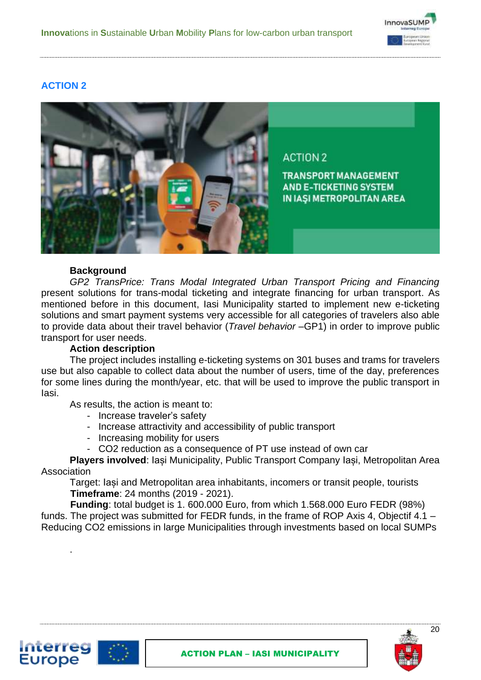

#### **ACTION 2**



#### **Background**

*GP2 TransPrice: Trans Modal Integrated Urban Transport Pricing and Financing* present solutions for trans-modal ticketing and integrate financing for urban transport. As mentioned before in this document, Iasi Municipality started to implement new e-ticketing solutions and smart payment systems very accessible for all categories of travelers also able to provide data about their travel behavior (*Travel behavior* –GP1) in order to improve public transport for user needs.

#### **Action description**

.

Interreg **Europe** 

The project includes installing e-ticketing systems on 301 buses and trams for travelers use but also capable to collect data about the number of users, time of the day, preferences for some lines during the month/year, etc. that will be used to improve the public transport in Iasi.

As results, the action is meant to:

- Increase traveler's safety
- Increase attractivity and accessibility of public transport
- Increasing mobility for users
- CO2 reduction as a consequence of PT use instead of own car

**Players involved**: Iași Municipality, Public Transport Company Iași, Metropolitan Area Association

Target: Iași and Metropolitan area inhabitants, incomers or transit people, tourists **Timeframe**: 24 months (2019 - 2021).

**Funding**: total budget is 1. 600.000 Euro, from which 1.568.000 Euro FEDR (98%) funds. The project was submitted for FEDR funds, in the frame of ROP Axis 4, Objectif 4.1 – Reducing CO2 emissions in large Municipalities through investments based on local SUMPs



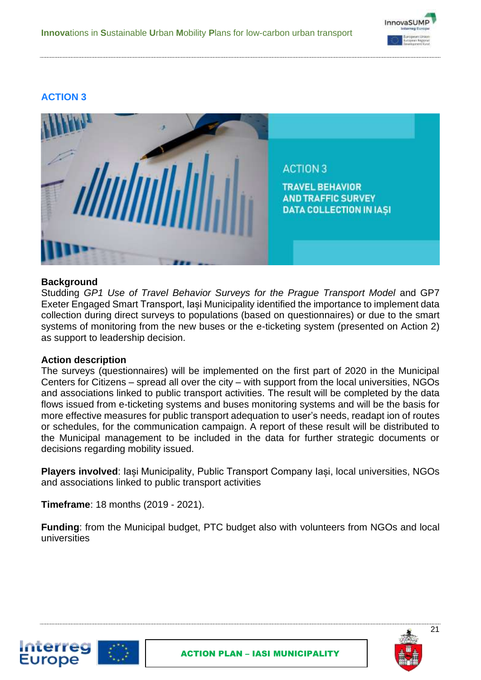

### **ACTION 3**



#### **Background**

Studding *GP1 Use of Travel Behavior Surveys for the Prague Transport Model* and GP7 Exeter Engaged Smart Transport, Iași Municipality identified the importance to implement data collection during direct surveys to populations (based on questionnaires) or due to the smart systems of monitoring from the new buses or the e-ticketing system (presented on Action 2) as support to leadership decision.

#### **Action description**

Interreg **Europe** 

The surveys (questionnaires) will be implemented on the first part of 2020 in the Municipal Centers for Citizens – spread all over the city – with support from the local universities, NGOs and associations linked to public transport activities. The result will be completed by the data flows issued from e-ticketing systems and buses monitoring systems and will be the basis for more effective measures for public transport adequation to user's needs, readapt ion of routes or schedules, for the communication campaign. A report of these result will be distributed to the Municipal management to be included in the data for further strategic documents or decisions regarding mobility issued.

**Players involved**: Iași Municipality, Public Transport Company Iași, local universities, NGOs and associations linked to public transport activities

**Timeframe**: 18 months (2019 - 2021).

**Funding**: from the Municipal budget, PTC budget also with volunteers from NGOs and local universities



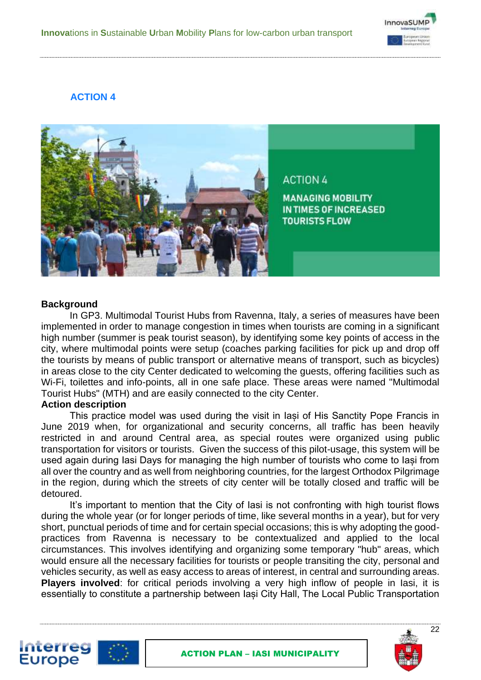

### **ACTION 4**



#### **Background**

In GP3. Multimodal Tourist Hubs from Ravenna, Italy, a series of measures have been implemented in order to manage congestion in times when tourists are coming in a significant high number (summer is peak tourist season), by identifying some key points of access in the city, where multimodal points were setup (coaches parking facilities for pick up and drop off the tourists by means of public transport or alternative means of transport, such as bicycles) in areas close to the city Center dedicated to welcoming the guests, offering facilities such as Wi-Fi, toilettes and info-points, all in one safe place. These areas were named "Multimodal Tourist Hubs" (MTH) and are easily connected to the city Center.

#### **Action description**

This practice model was used during the visit in Iași of His Sanctity Pope Francis in June 2019 when, for organizational and security concerns, all traffic has been heavily restricted in and around Central area, as special routes were organized using public transportation for visitors or tourists. Given the success of this pilot-usage, this system will be used again during Iasi Days for managing the high number of tourists who come to Iași from all over the country and as well from neighboring countries, for the largest Orthodox Pilgrimage in the region, during which the streets of city center will be totally closed and traffic will be detoured.

It's important to mention that the City of Iasi is not confronting with high tourist flows during the whole year (or for longer periods of time, like several months in a year), but for very short, punctual periods of time and for certain special occasions; this is why adopting the goodpractices from Ravenna is necessary to be contextualized and applied to the local circumstances. This involves identifying and organizing some temporary "hub" areas, which would ensure all the necessary facilities for tourists or people transiting the city, personal and vehicles security, as well as easy access to areas of interest, in central and surrounding areas. **Players involved**: for critical periods involving a very high inflow of people in Iasi, it is essentially to constitute a partnership between Iași City Hall, The Local Public Transportation



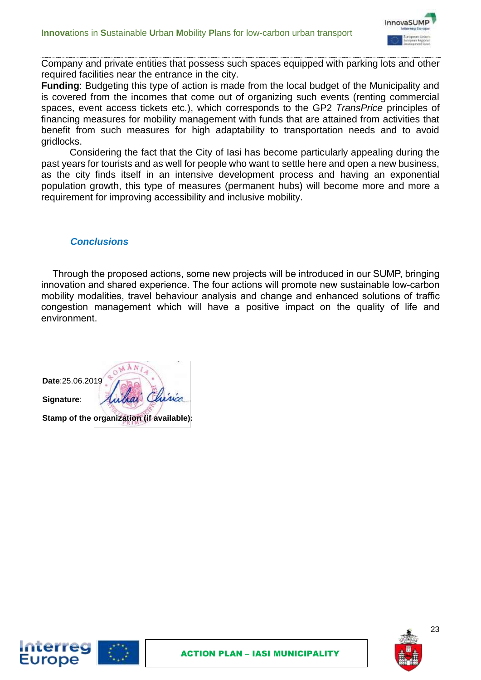

Company and private entities that possess such spaces equipped with parking lots and other required facilities near the entrance in the city.

**Funding**: Budgeting this type of action is made from the local budget of the Municipality and is covered from the incomes that come out of organizing such events (renting commercial spaces, event access tickets etc.), which corresponds to the GP2 *TransPrice* principles of financing measures for mobility management with funds that are attained from activities that benefit from such measures for high adaptability to transportation needs and to avoid gridlocks.

Considering the fact that the City of Iasi has become particularly appealing during the past years for tourists and as well for people who want to settle here and open a new business, as the city finds itself in an intensive development process and having an exponential population growth, this type of measures (permanent hubs) will become more and more a requirement for improving accessibility and inclusive mobility.

#### *Conclusions*

Through the proposed actions, some new projects will be introduced in our SUMP, bringing innovation and shared experience. The four actions will promote new sustainable low-carbon mobility modalities, travel behaviour analysis and change and enhanced solutions of traffic congestion management which will have a positive impact on the quality of life and environment.

**Date**:25.06.2019 **Signature**: **Stamp of the organization (if available):** 

Interreg Europe